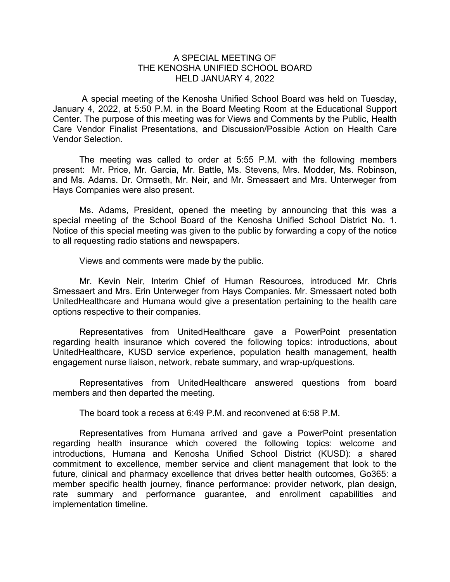## A SPECIAL MEETING OF THE KENOSHA UNIFIED SCHOOL BOARD HELD JANUARY 4, 2022

A special meeting of the Kenosha Unified School Board was held on Tuesday, January 4, 2022, at 5:50 P.M. in the Board Meeting Room at the Educational Support Center. The purpose of this meeting was for Views and Comments by the Public, Health Care Vendor Finalist Presentations, and Discussion/Possible Action on Health Care Vendor Selection.

The meeting was called to order at 5:55 P.M. with the following members present: Mr. Price, Mr. Garcia, Mr. Battle, Ms. Stevens, Mrs. Modder, Ms. Robinson, and Ms. Adams. Dr. Ormseth, Mr. Neir, and Mr. Smessaert and Mrs. Unterweger from Hays Companies were also present.

Ms. Adams, President, opened the meeting by announcing that this was a special meeting of the School Board of the Kenosha Unified School District No. 1. Notice of this special meeting was given to the public by forwarding a copy of the notice to all requesting radio stations and newspapers.

Views and comments were made by the public.

Mr. Kevin Neir, Interim Chief of Human Resources, introduced Mr. Chris Smessaert and Mrs. Erin Unterweger from Hays Companies. Mr. Smessaert noted both UnitedHealthcare and Humana would give a presentation pertaining to the health care options respective to their companies.

Representatives from UnitedHealthcare gave a PowerPoint presentation regarding health insurance which covered the following topics: introductions, about UnitedHealthcare, KUSD service experience, population health management, health engagement nurse liaison, network, rebate summary, and wrap-up/questions.

Representatives from UnitedHealthcare answered questions from board members and then departed the meeting.

The board took a recess at 6:49 P.M. and reconvened at 6:58 P.M.

Representatives from Humana arrived and gave a PowerPoint presentation regarding health insurance which covered the following topics: welcome and introductions, Humana and Kenosha Unified School District (KUSD): a shared commitment to excellence, member service and client management that look to the future, clinical and pharmacy excellence that drives better health outcomes, Go365: a member specific health journey, finance performance: provider network, plan design, rate summary and performance guarantee, and enrollment capabilities and implementation timeline.